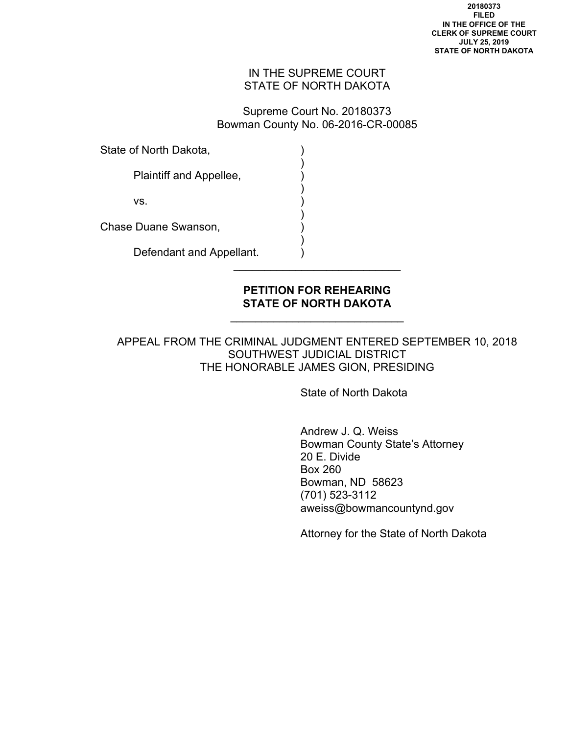## IN THE SUPREME COURT STATE OF NORTH DAKOTA

Supreme Court No. 20180373 Bowman County No. 06-2016-CR-00085

State of North Dakota,

 $)$ Plaintiff and Appellee,

 $)$ 

 $)$ 

 $VS$ .  $)$ 

Chase Duane Swanson, )

 $)$ Defendant and Appellant.

## **PETITION FOR REHEARING STATE OF NORTH DAKOTA**

\_\_\_\_\_\_\_\_\_\_\_\_\_\_\_\_\_\_\_\_\_\_\_\_\_\_\_\_

 $\overline{\phantom{a}}$  , where  $\overline{\phantom{a}}$  , where  $\overline{\phantom{a}}$  , where  $\overline{\phantom{a}}$ 

APPEAL FROM THE CRIMINAL JUDGMENT ENTERED SEPTEMBER 10, 2018 SOUTHWEST JUDICIAL DISTRICT THE HONORABLE JAMES GION, PRESIDING

State of North Dakota

 Andrew J. Q. Weiss Bowman County State's Attorney 20 E. Divide Box 260 Bowman, ND 58623 (701) 523-3112 aweiss@bowmancountynd.gov

Attorney for the State of North Dakota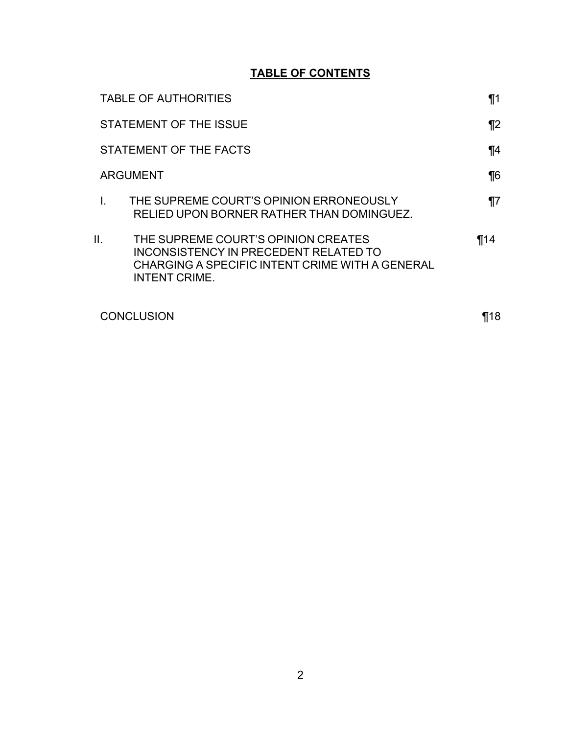## **TABLE OF CONTENTS**

|                 | <b>TABLE OF AUTHORITIES</b>                                                                                                                             | $\P1$ |
|-----------------|---------------------------------------------------------------------------------------------------------------------------------------------------------|-------|
|                 | STATEMENT OF THE ISSUE                                                                                                                                  |       |
|                 | STATEMENT OF THE FACTS                                                                                                                                  |       |
| <b>ARGUMENT</b> |                                                                                                                                                         | $\P6$ |
|                 | THE SUPREME COURT'S OPINION ERRONEOUSLY<br>RELIED UPON BORNER RATHER THAN DOMINGUEZ.                                                                    | ¶7    |
| Ш.              | THE SUPREME COURT'S OPINION CREATES<br>INCONSISTENCY IN PRECEDENT RELATED TO<br>CHARGING A SPECIFIC INTENT CRIME WITH A GENERAL<br><b>INTENT CRIME.</b> | ¶14   |
| CONCLUSION      |                                                                                                                                                         | 18    |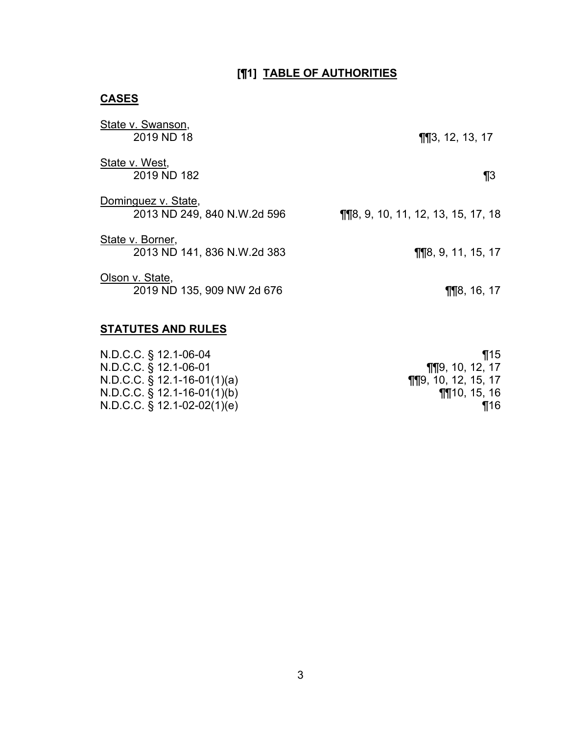# **[¶1] TABLE OF AUTHORITIES**

# **CASES**

| State v. Swanson,<br>2019 ND 18                    | $\P$ $\P$ $3$ , 12, 13, 17                                                             |
|----------------------------------------------------|----------------------------------------------------------------------------------------|
| State v. West,<br>2019 ND 182                      | $\P_3$                                                                                 |
| Dominguez v. State,<br>2013 ND 249, 840 N.W.2d 596 | <b><math>\P</math></b> $\P$ $8$ , $9$ , $10$ , $11$ , $12$ , $13$ , $15$ , $17$ , $18$ |
| State v. Borner,<br>2013 ND 141, 836 N.W.2d 383    | $\P$ 18, 9, 11, 15, 17                                                                 |
| Olson v. State,<br>2019 ND 135, 909 NW 2d 676      | $\P$ 18, 16, 17                                                                        |
| <b>STATUTES AND RULES</b>                          |                                                                                        |
| N.D.C.C. § 12.1-06-04                              | $\P$ 15                                                                                |

| 1115.                          |
|--------------------------------|
| <b>¶</b> [19, 10, 12, 17       |
| <b>TIT</b> $9, 10, 12, 15, 17$ |
| <b>M10, 15, 16</b>             |
| ¶16                            |
|                                |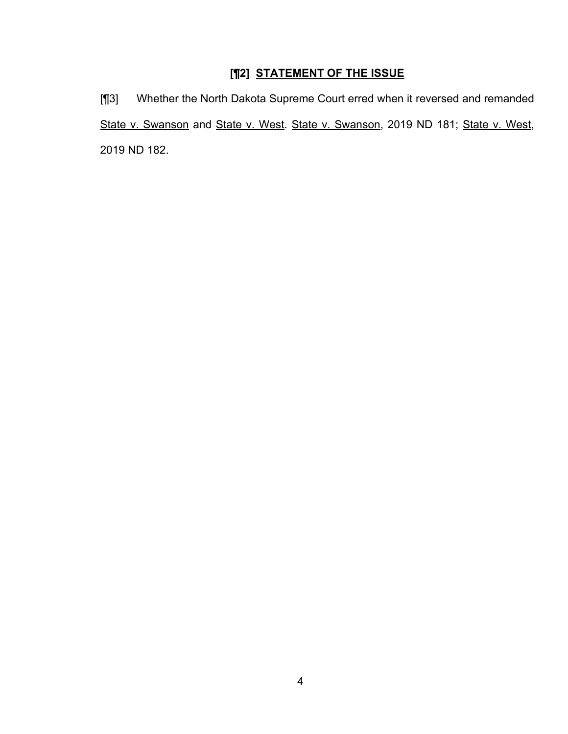# **[¶2] STATEMENT OF THE ISSUE**

[¶3] Whether the North Dakota Supreme Court erred when it reversed and remanded State v. Swanson and State v. West. State v. Swanson, 2019 ND 181; State v. West, 2019 ND 182.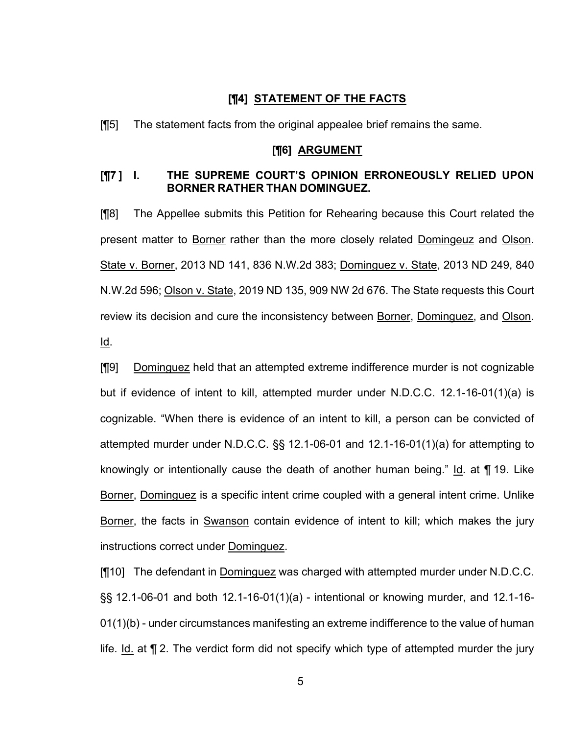### **[¶4] STATEMENT OF THE FACTS**

[¶5] The statement facts from the original appealee brief remains the same.

#### **[¶6] ARGUMENT**

## **[¶7 ] I. THE SUPREME COURT'S OPINION ERRONEOUSLY RELIED UPON BORNER RATHER THAN DOMINGUEZ.**

[¶8] The Appellee submits this Petition for Rehearing because this Court related the present matter to Borner rather than the more closely related Domingeuz and Olson. State v. Borner, 2013 ND 141, 836 N.W.2d 383; Dominguez v. State, 2013 ND 249, 840 N.W.2d 596; Olson v. State, 2019 ND 135, 909 NW 2d 676. The State requests this Court review its decision and cure the inconsistency between Borner, Dominguez, and Olson. Id.

[¶9] Dominguez held that an attempted extreme indifference murder is not cognizable but if evidence of intent to kill, attempted murder under N.D.C.C. 12.1-16-01(1)(a) is cognizable. "When there is evidence of an intent to kill, a person can be convicted of attempted murder under N.D.C.C. §§ 12.1-06-01 and 12.1-16-01(1)(a) for attempting to knowingly or intentionally cause the death of another human being." Id. at ¶ 19. Like Borner, Dominguez is a specific intent crime coupled with a general intent crime. Unlike Borner, the facts in Swanson contain evidence of intent to kill; which makes the jury instructions correct under Dominguez.

[¶10] The defendant in Dominguez was charged with attempted murder under N.D.C.C. §§ 12.1-06-01 and both 12.1-16-01(1)(a) - intentional or knowing murder, and 12.1-16- 01(1)(b) - under circumstances manifesting an extreme indifference to the value of human life. Id. at ¶ 2. The verdict form did not specify which type of attempted murder the jury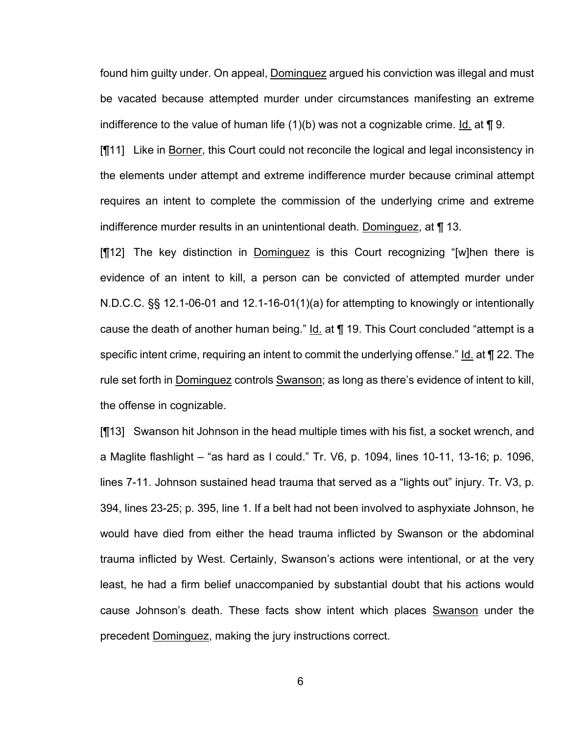found him guilty under. On appeal, Dominguez argued his conviction was illegal and must be vacated because attempted murder under circumstances manifesting an extreme indifference to the value of human life  $(1)(b)$  was not a cognizable crime. Id. at  $\P$  9.

[¶11] Like in Borner, this Court could not reconcile the logical and legal inconsistency in the elements under attempt and extreme indifference murder because criminal attempt requires an intent to complete the commission of the underlying crime and extreme indifference murder results in an unintentional death. Dominguez, at ¶ 13.

[¶12] The key distinction in Dominguez is this Court recognizing "[w]hen there is evidence of an intent to kill, a person can be convicted of attempted murder under N.D.C.C. §§ 12.1-06-01 and 12.1-16-01(1)(a) for attempting to knowingly or intentionally cause the death of another human being."  $Id$  at  $\P$  19. This Court concluded "attempt is a specific intent crime, requiring an intent to commit the underlying offense." Id. at ¶ 22. The rule set forth in Dominguez controls Swanson; as long as there's evidence of intent to kill, the offense in cognizable.

[¶13] Swanson hit Johnson in the head multiple times with his fist, a socket wrench, and a Maglite flashlight – "as hard as I could." Tr. V6, p. 1094, lines 10-11, 13-16; p. 1096, lines 7-11. Johnson sustained head trauma that served as a "lights out" injury. Tr. V3, p. 394, lines 23-25; p. 395, line 1. If a belt had not been involved to asphyxiate Johnson, he would have died from either the head trauma inflicted by Swanson or the abdominal trauma inflicted by West. Certainly, Swanson's actions were intentional, or at the very least, he had a firm belief unaccompanied by substantial doubt that his actions would cause Johnson's death. These facts show intent which places Swanson under the precedent Dominguez, making the jury instructions correct.

6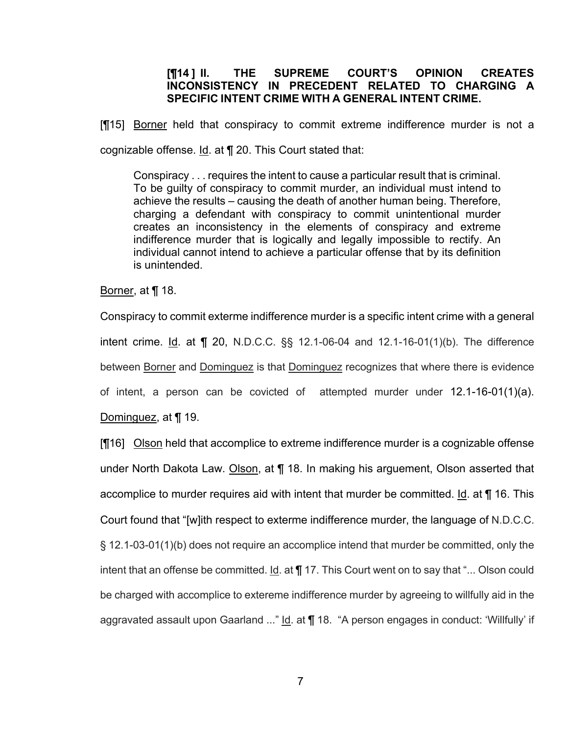## **[¶14 ] II. THE SUPREME COURT'S OPINION CREATES INCONSISTENCY IN PRECEDENT RELATED TO CHARGING A SPECIFIC INTENT CRIME WITH A GENERAL INTENT CRIME.**

[¶15] Borner held that conspiracy to commit extreme indifference murder is not a cognizable offense. Id. at ¶ 20. This Court stated that:

Conspiracy . . . requires the intent to cause a particular result that is criminal. To be guilty of conspiracy to commit murder, an individual must intend to achieve the results – causing the death of another human being. Therefore, charging a defendant with conspiracy to commit unintentional murder creates an inconsistency in the elements of conspiracy and extreme indifference murder that is logically and legally impossible to rectify. An individual cannot intend to achieve a particular offense that by its definition is unintended.

Borner, at ¶ 18.

Conspiracy to commit exterme indifference murder is a specific intent crime with a general intent crime. Id. at  $\P$  20, N.D.C.C.  $\S$ , 12.1-06-04 and 12.1-16-01(1)(b). The difference between Borner and Dominguez is that Dominguez recognizes that where there is evidence of intent, a person can be covicted of attempted murder under 12.1-16-01(1)(a).

Dominguez, at ¶ 19.

[16] Olson held that accomplice to extreme indifference murder is a cognizable offense under North Dakota Law. Olson, at ¶ 18. In making his arguement, Olson asserted that accomplice to murder requires aid with intent that murder be committed. Id. at ¶ 16. This Court found that "[w]ith respect to exterme indifference murder, the language of N.D.C.C. § 12.1-03-01(1)(b) does not require an accomplice intend that murder be committed, only the intent that an offense be committed. Id. at ¶ 17. This Court went on to say that "... Olson could be charged with accomplice to extereme indifference murder by agreeing to willfully aid in the aggravated assault upon Gaarland ..." Id. at ¶ 18. "A person engages in conduct: 'Willfully' if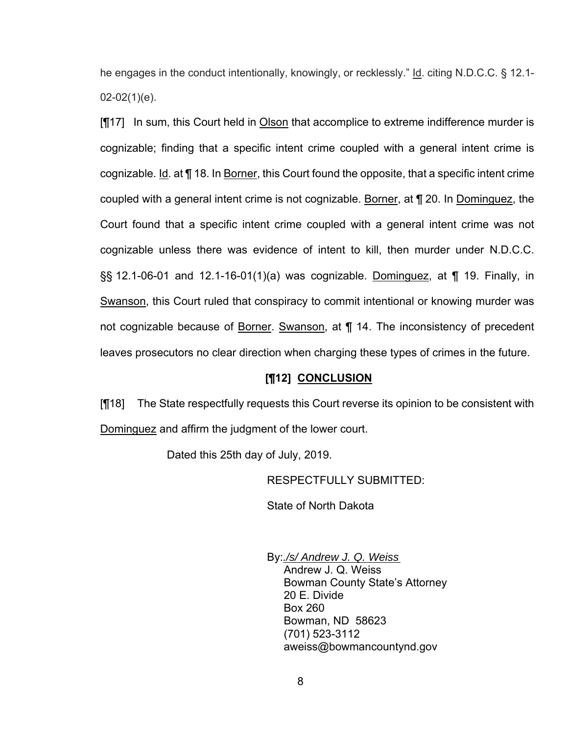he engages in the conduct intentionally, knowingly, or recklessly." Id. citing N.D.C.C. § 12.1-  $02-02(1)(e)$ .

[¶17] In sum, this Court held in Olson that accomplice to extreme indifference murder is cognizable; finding that a specific intent crime coupled with a general intent crime is cognizable. Id. at ¶ 18. In Borner, this Court found the opposite, that a specific intent crime coupled with a general intent crime is not cognizable. Borner, at ¶ 20. In Dominguez, the Court found that a specific intent crime coupled with a general intent crime was not cognizable unless there was evidence of intent to kill, then murder under N.D.C.C. §§ 12.1-06-01 and 12.1-16-01(1)(a) was cognizable. Dominguez, at ¶ 19. Finally, in Swanson, this Court ruled that conspiracy to commit intentional or knowing murder was not cognizable because of Borner. Swanson, at ¶ 14. The inconsistency of precedent leaves prosecutors no clear direction when charging these types of crimes in the future.

### **[¶12] CONCLUSION**

[¶18] The State respectfully requests this Court reverse its opinion to be consistent with Dominguez and affirm the judgment of the lower court.

Dated this 25th day of July, 2019.

RESPECTFULLY SUBMITTED:

State of North Dakota

 By:*./s/ Andrew J. Q. Weiss* Andrew J. Q. Weiss Bowman County State's Attorney 20 E. Divide Box 260 Bowman, ND 58623 (701) 523-3112 aweiss@bowmancountynd.gov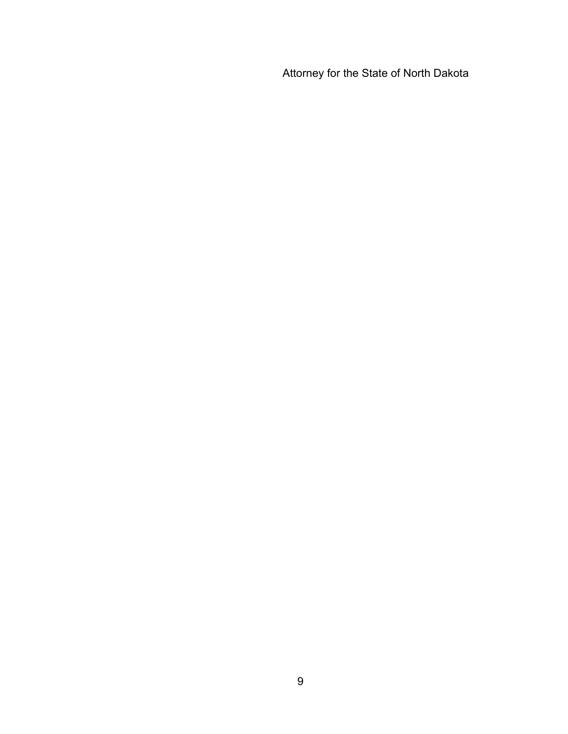Attorney for the State of North Dakota